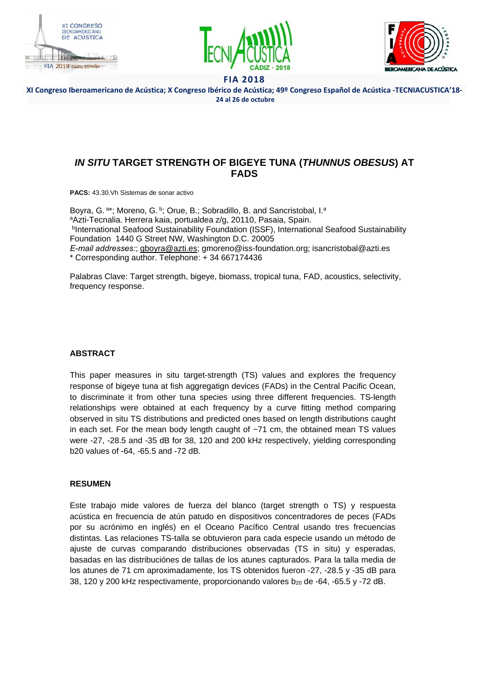





XI Congreso Iberoamericano de Acústica; X Congreso Ibérico de Acústica; 49º Congreso Español de Acústica -TECNIACUSTICA'18- **24 al 26 de octubre**

# *IN SITU* **TARGET STRENGTH OF BIGEYE TUNA (***THUNNUS OBESUS***) AT FADS**

**PACS:** 43.30.Vh Sistemas de sonar activo

Boyra, G. a\*; Moreno, G. b; Orue, B.; Sobradillo, B. and Sancristobal, I.<sup>a</sup> <sup>a</sup>Azti-Tecnalia. Herrera kaia, portualdea z/g, 20110, Pasaia, Spain. **bInternational Seafood Sustainability Foundation (ISSF), International Seafood Sustainability** Foundation 1440 G Street NW, Washington D.C. 20005 *E-mail addresses:*; gboyra@azti.es; gmoreno@iss-foundation.org; isancristobal@azti.es \* Corresponding author. Telephone: + 34 667174436

Palabras Clave: Target strength, bigeye, biomass, tropical tuna, FAD, acoustics, selectivity, frequency response.

## **ABSTRACT**

This paper measures in situ target-strength (TS) values and explores the frequency response of bigeye tuna at fish aggregatign devices (FADs) in the Central Pacific Ocean, to discriminate it from other tuna species using three different frequencies. TS-length relationships were obtained at each frequency by a curve fitting method comparing observed in situ TS distributions and predicted ones based on length distributions caught in each set. For the mean body length caught of  $-71$  cm, the obtained mean TS values were -27, -28.5 and -35 dB for 38, 120 and 200 kHz respectively, yielding corresponding b20 values of -64, -65.5 and -72 dB.

## **RESUMEN**

Este trabajo mide valores de fuerza del blanco (target strength o TS) y respuesta acústica en frecuencia de atún patudo en dispositivos concentradores de peces (FADs por su acrónimo en inglés) en el Oceano Pacífico Central usando tres frecuencias distintas. Las relaciones TS-talla se obtuvieron para cada especie usando un método de ajuste de curvas comparando distribuciones observadas (TS in situ) y esperadas, basadas en las distribuciónes de tallas de los atunes capturados. Para la talla media de los atunes de 71 cm aproximadamente, los TS obtenidos fueron -27, -28.5 y -35 dB para 38, 120 y 200 kHz respectivamente, proporcionando valores  $b_{20}$  de -64, -65.5 y -72 dB.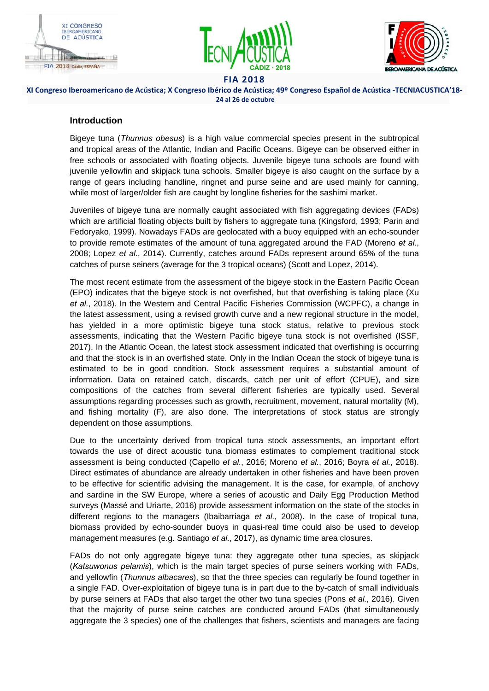





XI Congreso Iberoamericano de Acústica; X Congreso Ibérico de Acústica; 49º Congreso Español de Acústica -TECNIACUSTICA'18- **24 al 26 de octubre**

# **Introduction**

Bigeye tuna (*Thunnus obesus*) is a high value commercial species present in the subtropical and tropical areas of the Atlantic, Indian and Pacific Oceans. Bigeye can be observed either in free schools or associated with floating objects. Juvenile bigeye tuna schools are found with juvenile yellowfin and skipjack tuna schools. Smaller bigeye is also caught on the surface by a range of gears including handline, ringnet and purse seine and are used mainly for canning, while most of larger/older fish are caught by longline fisheries for the sashimi market.

Juveniles of bigeye tuna are normally caught associated with fish aggregating devices (FADs) which are artificial floating objects built by fishers to aggregate tuna (Kingsford, 1993; Parin and Fedoryako, 1999). Nowadays FADs are geolocated with a buoy equipped with an echo-sounder to provide remote estimates of the amount of tuna aggregated around the FAD (Moreno *et al.*, 2008; Lopez *et al.*, 2014). Currently, catches around FADs represent around 65% of the tuna catches of purse seiners (average for the 3 tropical oceans) (Scott and Lopez, 2014).

The most recent estimate from the assessment of the bigeye stock in the Eastern Pacific Ocean (EPO) indicates that the bigeye stock is not overfished, but that overfishing is taking place (Xu *et al.*, 2018). In the Western and Central Pacific Fisheries Commission (WCPFC), a change in the latest assessment, using a revised growth curve and a new regional structure in the model, has yielded in a more optimistic bigeye tuna stock status, relative to previous stock assessments, indicating that the Western Pacific bigeye tuna stock is not overfished (ISSF, 2017). In the Atlantic Ocean, the latest stock assessment indicated that overfishing is occurring and that the stock is in an overfished state. Only in the Indian Ocean the stock of bigeye tuna is estimated to be in good condition. Stock assessment requires a substantial amount of information. Data on retained catch, discards, catch per unit of effort (CPUE), and size compositions of the catches from several different fisheries are typically used. Several assumptions regarding processes such as growth, recruitment, movement, natural mortality (M), and fishing mortality (F), are also done. The interpretations of stock status are strongly dependent on those assumptions.

Due to the uncertainty derived from tropical tuna stock assessments, an important effort towards the use of direct acoustic tuna biomass estimates to complement traditional stock assessment is being conducted (Capello *et al.*, 2016; Moreno *et al.*, 2016; Boyra *et al.*, 2018). Direct estimates of abundance are already undertaken in other fisheries and have been proven to be effective for scientific advising the management. It is the case, for example, of anchovy and sardine in the SW Europe, where a series of acoustic and Daily Egg Production Method surveys (Massé and Uriarte, 2016) provide assessment information on the state of the stocks in different regions to the managers (Ibaibarriaga *et al.*, 2008). In the case of tropical tuna, biomass provided by echo-sounder buoys in quasi-real time could also be used to develop management measures (e.g. Santiago *et al.*, 2017), as dynamic time area closures.

FADs do not only aggregate bigeye tuna: they aggregate other tuna species, as skipjack (*Katsuwonus pelamis*), which is the main target species of purse seiners working with FADs, and yellowfin (*Thunnus albacares*), so that the three species can regularly be found together in a single FAD. Over-exploitation of bigeye tuna is in part due to the by-catch of small individuals by purse seiners at FADs that also target the other two tuna species (Pons *et al.*, 2016). Given that the majority of purse seine catches are conducted around FADs (that simultaneously aggregate the 3 species) one of the challenges that fishers, scientists and managers are facing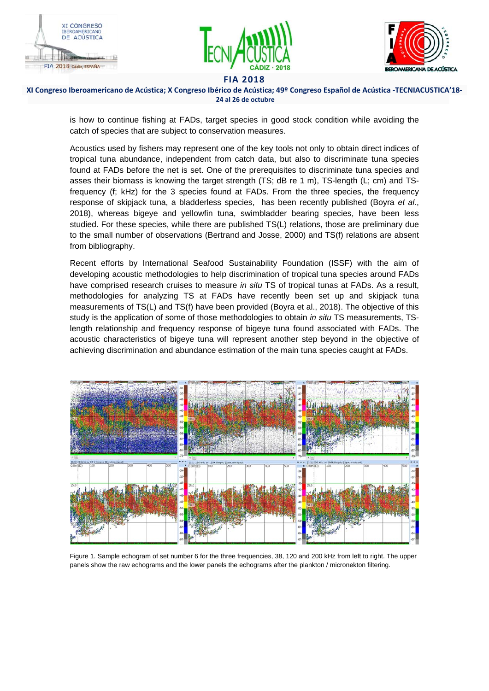





XI Congreso Iberoamericano de Acústica; X Congreso Ibérico de Acústica; 49º Congreso Español de Acústica -TECNIACUSTICA'18- **24 al 26 de octubre**

is how to continue fishing at FADs, target species in good stock condition while avoiding the catch of species that are subject to conservation measures.

Acoustics used by fishers may represent one of the key tools not only to obtain direct indices of tropical tuna abundance, independent from catch data, but also to discriminate tuna species found at FADs before the net is set. One of the prerequisites to discriminate tuna species and asses their biomass is knowing the target strength (TS; dB re 1 m), TS-length (L; cm) and TSfrequency (f; kHz) for the 3 species found at FADs. From the three species, the frequency response of skipjack tuna, a bladderless species, has been recently published (Boyra *et al.*, 2018), whereas bigeye and yellowfin tuna, swimbladder bearing species, have been less studied. For these species, while there are published TS(L) relations, those are preliminary due to the small number of observations (Bertrand and Josse, 2000) and TS(f) relations are absent from bibliography.

Recent efforts by International Seafood Sustainability Foundation (ISSF) with the aim of developing acoustic methodologies to help discrimination of tropical tuna species around FADs have comprised research cruises to measure *in situ* TS of tropical tunas at FADs. As a result, methodologies for analyzing TS at FADs have recently been set up and skipjack tuna measurements of TS(L) and TS(f) have been provided (Boyra et al., 2018). The objective of this study is the application of some of those methodologies to obtain *in situ* TS measurements, TSlength relationship and frequency response of bigeye tuna found associated with FADs. The acoustic characteristics of bigeye tuna will represent another step beyond in the objective of achieving discrimination and abundance estimation of the main tuna species caught at FADs.



Figure 1. Sample echogram of set number 6 for the three frequencies, 38, 120 and 200 kHz from left to right. The upper panels show the raw echograms and the lower panels the echograms after the plankton / micronekton filtering.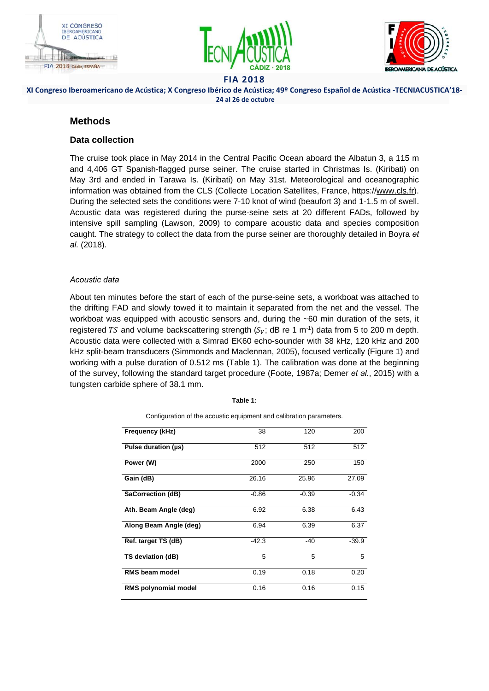





# XI Congreso Iberoamericano de Acústica; X Congreso Ibérico de Acústica; 49º Congreso Español de Acústica -TECNIACUSTICA'18- **24 al 26 de octubre**

# **Methods**

# **Data collection**

The cruise took place in May 2014 in the Central Pacific Ocean aboard the Albatun 3, a 115 m and 4,406 GT Spanish-flagged purse seiner. The cruise started in Christmas Is. (Kiribati) on May 3rd and ended in Tarawa Is. (Kiribati) on May 31st. Meteorological and oceanographic information was obtained from the CLS (Collecte Location Satellites, France, https://www.cls.fr). During the selected sets the conditions were 7-10 knot of wind (beaufort 3) and 1-1.5 m of swell. Acoustic data was registered during the purse-seine sets at 20 different FADs, followed by intensive spill sampling (Lawson, 2009) to compare acoustic data and species composition caught. The strategy to collect the data from the purse seiner are thoroughly detailed in Boyra *et al.* (2018).

## *Acoustic data*

About ten minutes before the start of each of the purse-seine sets, a workboat was attached to the drifting FAD and slowly towed it to maintain it separated from the net and the vessel. The workboat was equipped with acoustic sensors and, during the ~60 min duration of the sets, it registered TS and volume backscattering strength ( $S_V$ ; dB re 1 m<sup>-1</sup>) data from 5 to 200 m depth. Acoustic data were collected with a Simrad EK60 echo-sounder with 38 kHz, 120 kHz and 200 kHz split-beam transducers (Simmonds and Maclennan, 2005), focused vertically (Figure 1) and working with a pulse duration of 0.512 ms (Table 1). The calibration was done at the beginning of the survey, following the standard target procedure (Foote, 1987a; Demer *et al.*, 2015) with a tungsten carbide sphere of 38.1 mm.

| Table |  |
|-------|--|

Configuration of the acoustic equipment and calibration parameters.

| Frequency (kHz)             | 38      | 120     | 200     |
|-----------------------------|---------|---------|---------|
| Pulse duration (µs)         | 512     | 512     | 512     |
| Power (W)                   | 2000    | 250     | 150     |
| Gain (dB)                   | 26.16   | 25.96   | 27.09   |
| SaCorrection (dB)           | $-0.86$ | $-0.39$ | $-0.34$ |
| Ath. Beam Angle (deg)       | 6.92    | 6.38    | 6.43    |
| Along Beam Angle (deg)      | 6.94    | 6.39    | 6.37    |
| Ref. target TS (dB)         | $-42.3$ | $-40$   | $-39.9$ |
| TS deviation (dB)           | 5       | 5       | 5       |
| <b>RMS beam model</b>       | 0.19    | 0.18    | 0.20    |
| <b>RMS polynomial model</b> | 0.16    | 0.16    | 0.15    |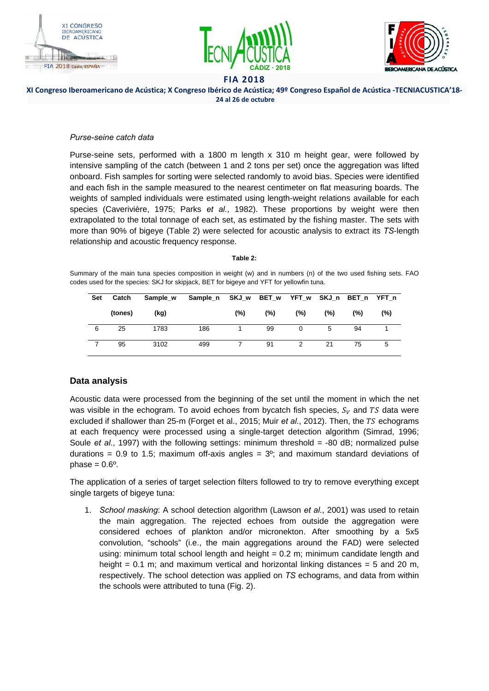





#### XI Congreso Iberoamericano de Acústica; X Congreso Ibérico de Acústica; 49º Congreso Español de Acústica -TECNIACUSTICA'18- **24 al 26 de octubre**

#### *Purse-seine catch data*

Purse-seine sets, performed with a 1800 m length x 310 m height gear, were followed by intensive sampling of the catch (between 1 and 2 tons per set) once the aggregation was lifted onboard. Fish samples for sorting were selected randomly to avoid bias. Species were identified and each fish in the sample measured to the nearest centimeter on flat measuring boards. The weights of sampled individuals were estimated using length-weight relations available for each species (Caverivière, 1975; Parks *et al.*, 1982). These proportions by weight were then extrapolated to the total tonnage of each set, as estimated by the fishing master. The sets with more than 90% of bigeye (Table 2) were selected for acoustic analysis to extract its *TS*-length relationship and acoustic frequency response.

#### **Table 2:**

Summary of the main tuna species composition in weight (w) and in numbers (n) of the two used fishing sets. FAO codes used for the species: SKJ for skipjack, BET for bigeye and YFT for yellowfin tuna.

| Set | Catch   | Sample w | Sample n SKJ w |         | BET w YFT w SKJ n BET n YFT n |     |     |     |     |
|-----|---------|----------|----------------|---------|-------------------------------|-----|-----|-----|-----|
|     | (tones) | (kg)     |                | $(\% )$ | (%)                           | (%) | (%) | (%) | (%) |
| 6   | 25      | 1783     | 186            |         | 99                            |     | 5   | 94  |     |
|     | 95      | 3102     | 499            |         | 91                            |     | 21  | 75  | 5   |

# **Data analysis**

Acoustic data were processed from the beginning of the set until the moment in which the net was visible in the echogram. To avoid echoes from bycatch fish species,  $S_V$  and TS data were excluded if shallower than 25-m (Forget et al., 2015; Muir *et al.*, 2012). Then, the TS echograms at each frequency were processed using a single-target detection algorithm (Simrad, 1996; Soule *et al.*, 1997) with the following settings: minimum threshold = -80 dB; normalized pulse durations = 0.9 to 1.5; maximum of f-axis angles =  $3^\circ$ ; and maximum standard deviations of phase  $= 0.6$ <sup>o</sup>.

The application of a series of target selection filters followed to try to remove everything except single targets of bigeye tuna:

1. *School masking*: A school detection algorithm (Lawson *et al.*, 2001) was used to retain the main aggregation. The rejected echoes from outside the aggregation were considered echoes of plankton and/or micronekton. After smoothing by a 5x5 convolution, "schools" (i.e., the main aggregations around the FAD) were selected using: minimum total school length and height = 0.2 m; minimum candidate length and height =  $0.1$  m; and maximum vertical and horizontal linking distances =  $5$  and 20 m, respectively. The school detection was applied on *TS* echograms, and data from within the schools were attributed to tuna (Fig. 2).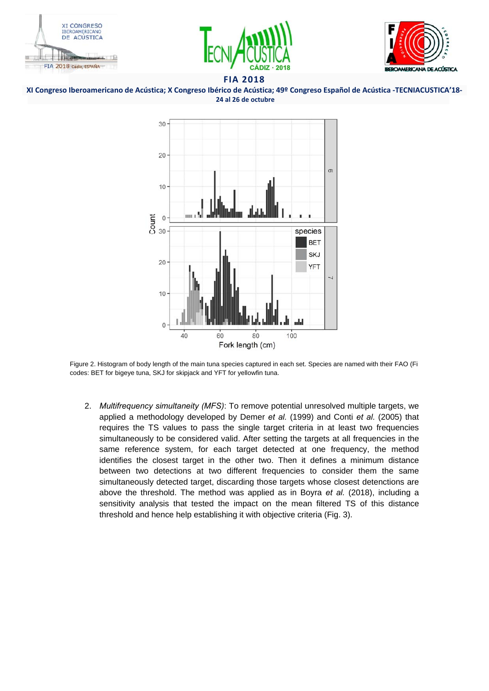





XI Congreso Iberoamericano de Acústica; X Congreso Ibérico de Acústica; 49º Congreso Español de Acústica -TECNIACUSTICA'18- **24 al 26 de octubre**



Figure 2. Histogram of body length of the main tuna species captured in each set. Species are named with their FAO (Fi codes: BET for bigeye tuna, SKJ for skipjack and YFT for yellowfin tuna.

2. *Multifrequency simultaneity (MFS)*: To remove potential unresolved multiple targets, we applied a methodology developed by Demer *et al.* (1999) and Conti *et al.* (2005) that requires the TS values to pass the single target criteria in at least two frequencies simultaneously to be considered valid. After setting the targets at all frequencies in the same reference system, for each target detected at one frequency, the method identifies the closest target in the other two. Then it defines a minimum distance between two detections at two different frequencies to consider them the same simultaneously detected target, discarding those targets whose closest detenctions are above the threshold. The method was applied as in Boyra *et al.* (2018), including a sensitivity analysis that tested the impact on the mean filtered TS of this distance threshold and hence help establishing it with objective criteria (Fig. 3).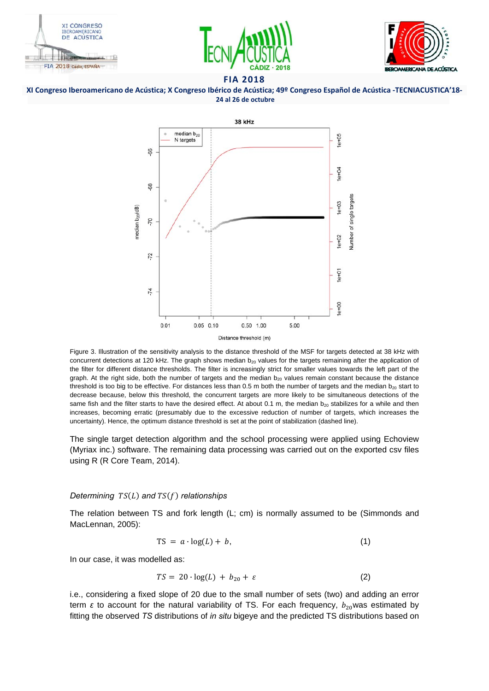









Figure 3. Illustration of the sensitivity analysis to the distance threshold of the MSF for targets detected at 38 kHz with concurrent detections at 120 kHz. The graph shows median  $b_{20}$  values for the targets remaining after the application of the filter for different distance thresholds. The filter is increasingly strict for smaller values towards the left part of the graph. At the right side, both the number of targets and the median  $b_{20}$  values remain constant because the distance threshold is too big to be effective. For distances less than 0.5 m both the number of targets and the median  $b_{20}$  start to decrease because, below this threshold, the concurrent targets are more likely to be simultaneous detections of the same fish and the filter starts to have the desired effect. At about 0.1 m, the median  $b_{20}$  stabilizes for a while and then increases, becoming erratic (presumably due to the excessive reduction of number of targets, which increases the uncertainty). Hence, the optimum distance threshold is set at the point of stabilization (dashed line).

The single target detection algorithm and the school processing were applied using Echoview (Myriax inc.) software. The remaining data processing was carried out on the exported csv files using R (R Core Team, 2014).

#### *Determining*  $TS(L)$  *and*  $TS(f)$  *relationships*

The relation between TS and fork length (L; cm) is normally assumed to be (Simmonds and MacLennan, 2005):

$$
TS = a \cdot \log(L) + b,\tag{1}
$$

In our case, it was modelled as:

$$
TS = 20 \cdot \log(L) + b_{20} + \varepsilon \tag{2}
$$

i.e., considering a fixed slope of 20 due to the small number of sets (two) and adding an error term *ε* to account for the natural variability of TS. For each frequency,  $b_{20}$ was estimated by fitting the observed *TS* distributions of *in situ* bigeye and the predicted TS distributions based on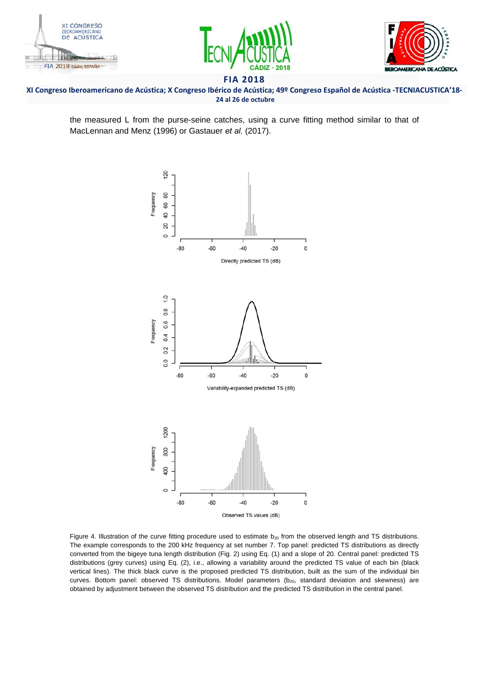





#### XI Congreso Iberoamericano de Acústica; X Congreso Ibérico de Acústica; 49º Congreso Español de Acústica -TECNIACUSTICA'18- **24 al 26 de octubre**

the measured L from the purse-seine catches, using a curve fitting method similar to that of MacLennan and Menz (1996) or Gastauer *et al.* (2017).



Figure 4. Illustration of the curve fitting procedure used to estimate  $b_{20}$  from the observed length and TS distributions. The example corresponds to the 200 kHz frequency at set number 7. Top panel: predicted TS distributions as directly converted from the bigeye tuna length distribution (Fig. 2) using Eq. (1) and a slope of 20. Central panel: predicted TS distributions (grey curves) using Eq. (2), i.e., allowing a variability around the predicted TS value of each bin (black vertical lines). The thick black curve is the proposed predicted TS distribution, built as the sum of the individual bin curves. Bottom panel: observed TS distributions. Model parameters  $(b_{20}$ , standard deviation and skewness) are obtained by adjustment between the observed TS distribution and the predicted TS distribution in the central panel.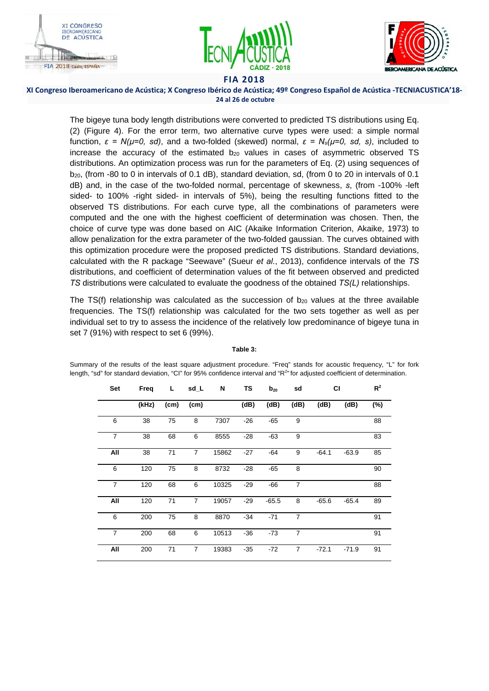





#### XI Congreso Iberoamericano de Acústica; X Congreso Ibérico de Acústica; 49º Congreso Español de Acústica -TECNIACUSTICA'18- **24 al 26 de octubre**

The bigeye tuna body length distributions were converted to predicted TS distributions using Eq. (2) (Figure 4). For the error term, two alternative curve types were used: a simple normal function, *ε = N(µ=0, sd)*, and a two-folded (skewed) normal, *ε = Ns(µ=0, sd, s)*, included to increase the accuracy of the estimated  $b_{20}$  values in cases of asymmetric observed TS distributions. An optimization process was run for the parameters of Eq. (2) using sequences of b<sub>20</sub>, (from -80 to 0 in intervals of 0.1 dB), standard deviation, sd, (from 0 to 20 in intervals of 0.1 dB) and, in the case of the two-folded normal, percentage of skewness, *s*, (from -100% -left sided- to 100% -right sided- in intervals of 5%), being the resulting functions fitted to the observed TS distributions. For each curve type, all the combinations of parameters were computed and the one with the highest coefficient of determination was chosen. Then, the choice of curve type was done based on AIC (Akaike Information Criterion, Akaike, 1973) to allow penalization for the extra parameter of the two-folded gaussian. The curves obtained with this optimization procedure were the proposed predicted TS distributions. Standard deviations, calculated with the R package "Seewave" (Sueur *et al.*, 2013), confidence intervals of the *TS* distributions, and coefficient of determination values of the fit between observed and predicted *TS* distributions were calculated to evaluate the goodness of the obtained *TS(L)* relationships.

The TS(f) relationship was calculated as the succession of  $b_{20}$  values at the three available frequencies. The TS(f) relationship was calculated for the two sets together as well as per individual set to try to assess the incidence of the relatively low predominance of bigeye tuna in set 7 (91%) with respect to set 6 (99%).

| Set            | Freq  | Ц.   | sd_L           | N     | TS    | $b_{20}$ | sd             | <b>CI</b> |         | $R^2$  |
|----------------|-------|------|----------------|-------|-------|----------|----------------|-----------|---------|--------|
|                | (kHz) | (cm) | (cm)           |       | (dB)  | (dB)     | (dB)           | (dB)      | (dB)    | $(\%)$ |
| 6              | 38    | 75   | 8              | 7307  | $-26$ | -65      | 9              |           |         | 88     |
| $\overline{7}$ | 38    | 68   | 6              | 8555  | $-28$ | $-63$    | 9              |           |         | 83     |
| All            | 38    | 71   | $\overline{7}$ | 15862 | $-27$ | $-64$    | 9              | $-64.1$   | $-63.9$ | 85     |
| 6              | 120   | 75   | 8              | 8732  | $-28$ | -65      | 8              |           |         | 90     |
| $\overline{7}$ | 120   | 68   | 6              | 10325 | $-29$ | -66      | $\overline{7}$ |           |         | 88     |
| All            | 120   | 71   | $\overline{7}$ | 19057 | $-29$ | $-65.5$  | 8              | $-65.6$   | $-65.4$ | 89     |
| 6              | 200   | 75   | 8              | 8870  | $-34$ | $-71$    | $\overline{7}$ |           |         | 91     |
| $\overline{7}$ | 200   | 68   | 6              | 10513 | $-36$ | $-73$    | $\overline{7}$ |           |         | 91     |
| All            | 200   | 71   | $\overline{7}$ | 19383 | $-35$ | $-72$    | $\overline{7}$ | $-72.1$   | $-71.9$ | 91     |

**Table 3:** 

Summary of the results of the least square adjustment procedure. "Freq" stands for acoustic frequency, "L" for fork length, "sd" for standard deviation, "Cl" for 95% confidence interval and "R<sup>2</sup>" for adjusted coefficient of determination.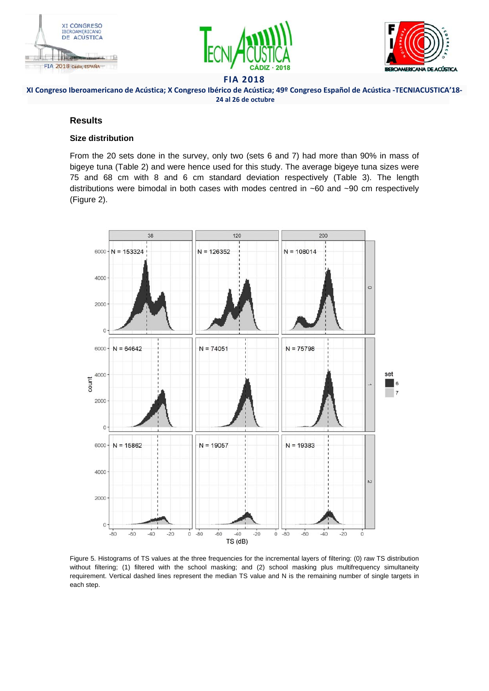





XI Congreso Iberoamericano de Acústica; X Congreso Ibérico de Acústica; 49º Congreso Español de Acústica -TECNIACUSTICA'18- **24 al 26 de octubre**

## **Results**

#### **Size distribution**

From the 20 sets done in the survey, only two (sets 6 and 7) had more than 90% in mass of bigeye tuna (Table 2) and were hence used for this study. The average bigeye tuna sizes were 75 and 68 cm with 8 and 6 cm standard deviation respectively (Table 3). The length distributions were bimodal in both cases with modes centred in ~60 and ~90 cm respectively (Figure 2).



Figure 5. Histograms of TS values at the three frequencies for the incremental layers of filtering: (0) raw TS distribution without filtering; (1) filtered with the school masking; and (2) school masking plus multifrequency simultaneity requirement. Vertical dashed lines represent the median TS value and N is the remaining number of single targets in each step.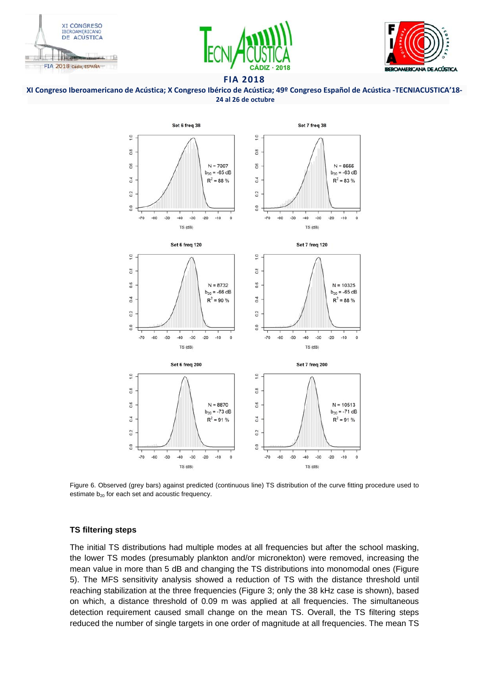





#### XI Congreso Iberoamericano de Acústica; X Congreso Ibérico de Acústica; 49º Congreso Español de Acústica -TECNIACUSTICA'18- **24 al 26 de octubre**



Figure 6. Observed (grey bars) against predicted (continuous line) TS distribution of the curve fitting procedure used to estimate  $b_{20}$  for each set and acoustic frequency.

## **TS filtering steps**

The initial TS distributions had multiple modes at all frequencies but after the school masking, the lower TS modes (presumably plankton and/or micronekton) were removed, increasing the mean value in more than 5 dB and changing the TS distributions into monomodal ones (Figure 5). The MFS sensitivity analysis showed a reduction of TS with the distance threshold until reaching stabilization at the three frequencies (Figure 3; only the 38 kHz case is shown), based on which, a distance threshold of 0.09 m was applied at all frequencies. The simultaneous detection requirement caused small change on the mean TS. Overall, the TS filtering steps reduced the number of single targets in one order of magnitude at all frequencies. The mean TS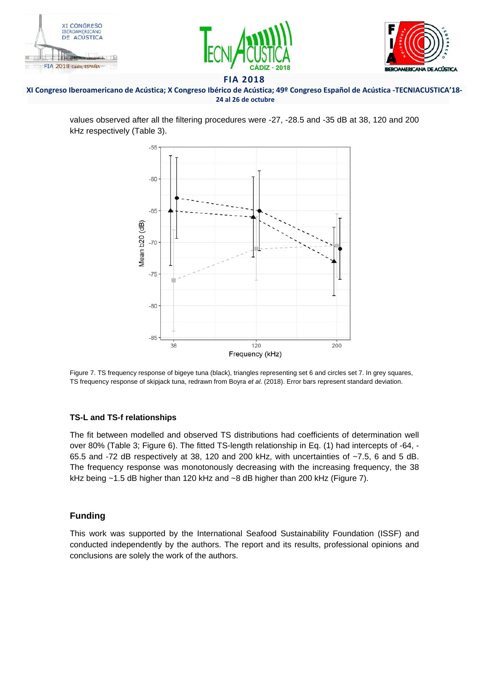





#### XI Congreso Iberoamericano de Acústica; X Congreso Ibérico de Acústica; 49º Congreso Español de Acústica -TECNIACUSTICA'18- **24 al 26 de octubre**

values observed after all the filtering procedures were -27, -28.5 and -35 dB at 38, 120 and 200 kHz respectively (Table 3).



Figure 7. TS frequency response of bigeye tuna (black), triangles representing set 6 and circles set 7. In grey squares, TS frequency response of skipjack tuna, redrawn from Boyra *et al.* (2018). Error bars represent standard deviation.

## **TS-L and TS-f relationships**

The fit between modelled and observed TS distributions had coefficients of determination well over 80% (Table 3; Figure 6). The fitted TS-length relationship in Eq. (1) had intercepts of -64, - 65.5 and -72 dB respectively at 38, 120 and 200 kHz, with uncertainties of ~7.5, 6 and 5 dB. The frequency response was monotonously decreasing with the increasing frequency, the 38 kHz being ~1.5 dB higher than 120 kHz and ~8 dB higher than 200 kHz (Figure 7).

# **Funding**

This work was supported by the International Seafood Sustainability Foundation (ISSF) and conducted independently by the authors. The report and its results, professional opinions and conclusions are solely the work of the authors.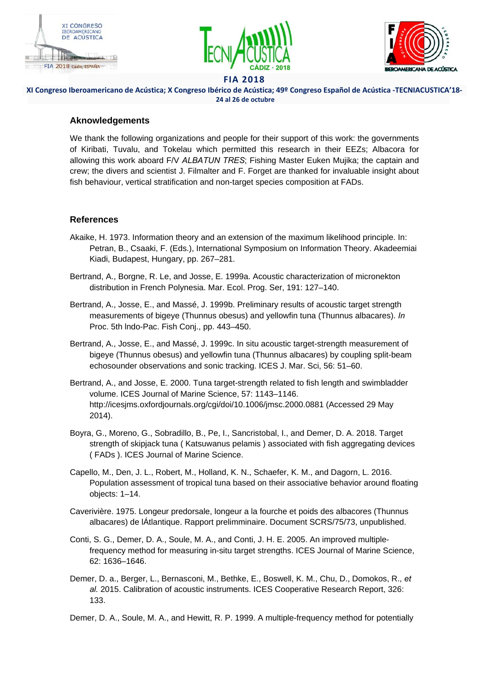





# XI Congreso Iberoamericano de Acústica; X Congreso Ibérico de Acústica; 49º Congreso Español de Acústica -TECNIACUSTICA'18- **24 al 26 de octubre**

# **Aknowledgements**

We thank the following organizations and people for their support of this work: the governments of Kiribati, Tuvalu, and Tokelau which permitted this research in their EEZs; Albacora for allowing this work aboard F/V *ALBATUN TRES*; Fishing Master Euken Mujika; the captain and crew; the divers and scientist J. Filmalter and F. Forget are thanked for invaluable insight about fish behaviour, vertical stratification and non-target species composition at FADs.

# **References**

- Akaike, H. 1973. Information theory and an extension of the maximum likelihood principle. In: Petran, B., Csaaki, F. (Eds.), International Symposium on Information Theory. Akadeemiai Kiadi, Budapest, Hungary, pp. 267–281.
- Bertrand, A., Borgne, R. Le, and Josse, E. 1999a. Acoustic characterization of micronekton distribution in French Polynesia. Mar. Ecol. Prog. Ser, 191: 127–140.
- Bertrand, A., Josse, E., and Massé, J. 1999b. Preliminary results of acoustic target strength measurements of bigeye (Thunnus obesus) and yellowfin tuna (Thunnus albacares). *In* Proc. 5th lndo-Pac. Fish Conj., pp. 443–450.
- Bertrand, A., Josse, E., and Massé, J. 1999c. In situ acoustic target-strength measurement of bigeye (Thunnus obesus) and yellowfin tuna (Thunnus albacares) by coupling split-beam echosounder observations and sonic tracking. ICES J. Mar. Sci, 56: 51–60.
- Bertrand, A., and Josse, E. 2000. Tuna target-strength related to fish length and swimbladder volume. ICES Journal of Marine Science, 57: 1143–1146. http://icesjms.oxfordjournals.org/cgi/doi/10.1006/jmsc.2000.0881 (Accessed 29 May 2014).
- Boyra, G., Moreno, G., Sobradillo, B., Pe, I., Sancristobal, I., and Demer, D. A. 2018. Target strength of skipjack tuna ( Katsuwanus pelamis ) associated with fish aggregating devices ( FADs ). ICES Journal of Marine Science.
- Capello, M., Den, J. L., Robert, M., Holland, K. N., Schaefer, K. M., and Dagorn, L. 2016. Population assessment of tropical tuna based on their associative behavior around floating objects: 1–14.
- Caverivière. 1975. Longeur predorsale, longeur a la fourche et poids des albacores (Thunnus albacares) de lÁtlantique. Rapport prelimminaire. Document SCRS/75/73, unpublished.
- Conti, S. G., Demer, D. A., Soule, M. A., and Conti, J. H. E. 2005. An improved multiplefrequency method for measuring in-situ target strengths. ICES Journal of Marine Science, 62: 1636–1646.
- Demer, D. a., Berger, L., Bernasconi, M., Bethke, E., Boswell, K. M., Chu, D., Domokos, R., *et al.* 2015. Calibration of acoustic instruments. ICES Cooperative Research Report, 326: 133.

Demer, D. A., Soule, M. A., and Hewitt, R. P. 1999. A multiple-frequency method for potentially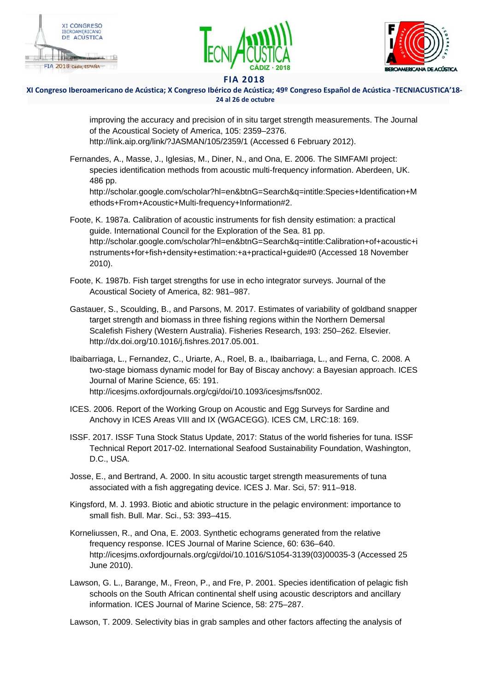





XI Congreso Iberoamericano de Acústica; X Congreso Ibérico de Acústica; 49º Congreso Español de Acústica -TECNIACUSTICA'18- **24 al 26 de octubre**

> improving the accuracy and precision of in situ target strength measurements. The Journal of the Acoustical Society of America, 105: 2359–2376. http://link.aip.org/link/?JASMAN/105/2359/1 (Accessed 6 February 2012).

Fernandes, A., Masse, J., Iglesias, M., Diner, N., and Ona, E. 2006. The SIMFAMI project: species identification methods from acoustic multi-frequency information. Aberdeen, UK. 486 pp.

http://scholar.google.com/scholar?hl=en&btnG=Search&q=intitle:Species+Identification+M ethods+From+Acoustic+Multi-frequency+Information#2.

- Foote, K. 1987a. Calibration of acoustic instruments for fish density estimation: a practical guide. International Council for the Exploration of the Sea. 81 pp. http://scholar.google.com/scholar?hl=en&btnG=Search&q=intitle:Calibration+of+acoustic+i nstruments+for+fish+density+estimation:+a+practical+guide#0 (Accessed 18 November 2010).
- Foote, K. 1987b. Fish target strengths for use in echo integrator surveys. Journal of the Acoustical Society of America, 82: 981–987.
- Gastauer, S., Scoulding, B., and Parsons, M. 2017. Estimates of variability of goldband snapper target strength and biomass in three fishing regions within the Northern Demersal Scalefish Fishery (Western Australia). Fisheries Research, 193: 250–262. Elsevier. http://dx.doi.org/10.1016/j.fishres.2017.05.001.
- Ibaibarriaga, L., Fernandez, C., Uriarte, A., Roel, B. a., Ibaibarriaga, L., and Ferna, C. 2008. A two-stage biomass dynamic model for Bay of Biscay anchovy: a Bayesian approach. ICES Journal of Marine Science, 65: 191. http://icesjms.oxfordjournals.org/cgi/doi/10.1093/icesjms/fsn002.
- ICES. 2006. Report of the Working Group on Acoustic and Egg Surveys for Sardine and Anchovy in ICES Areas VIII and IX (WGACEGG). ICES CM, LRC:18: 169.
- ISSF. 2017. ISSF Tuna Stock Status Update, 2017: Status of the world fisheries for tuna. ISSF Technical Report 2017-02. International Seafood Sustainability Foundation, Washington, D.C., USA.
- Josse, E., and Bertrand, A. 2000. In situ acoustic target strength measurements of tuna associated with a fish aggregating device. ICES J. Mar. Sci, 57: 911–918.
- Kingsford, M. J. 1993. Biotic and abiotic structure in the pelagic environment: importance to small fish. Bull. Mar. Sci., 53: 393–415.
- Korneliussen, R., and Ona, E. 2003. Synthetic echograms generated from the relative frequency response. ICES Journal of Marine Science, 60: 636–640. http://icesjms.oxfordjournals.org/cgi/doi/10.1016/S1054-3139(03)00035-3 (Accessed 25 June 2010).
- Lawson, G. L., Barange, M., Freon, P., and Fre, P. 2001. Species identification of pelagic fish schools on the South African continental shelf using acoustic descriptors and ancillary information. ICES Journal of Marine Science, 58: 275–287.

Lawson, T. 2009. Selectivity bias in grab samples and other factors affecting the analysis of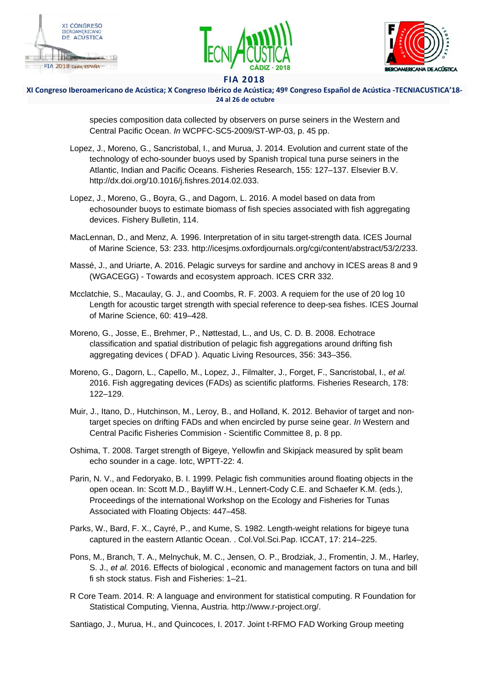





#### XI Congreso Iberoamericano de Acústica; X Congreso Ibérico de Acústica; 49º Congreso Español de Acústica -TECNIACUSTICA'18- **24 al 26 de octubre**

species composition data collected by observers on purse seiners in the Western and Central Pacific Ocean. *In* WCPFC-SC5-2009/ST-WP-03, p. 45 pp.

- Lopez, J., Moreno, G., Sancristobal, I., and Murua, J. 2014. Evolution and current state of the technology of echo-sounder buoys used by Spanish tropical tuna purse seiners in the Atlantic, Indian and Pacific Oceans. Fisheries Research, 155: 127–137. Elsevier B.V. http://dx.doi.org/10.1016/j.fishres.2014.02.033.
- Lopez, J., Moreno, G., Boyra, G., and Dagorn, L. 2016. A model based on data from echosounder buoys to estimate biomass of fish species associated with fish aggregating devices. Fishery Bulletin, 114.
- MacLennan, D., and Menz, A. 1996. Interpretation of in situ target-strength data. ICES Journal of Marine Science, 53: 233. http://icesjms.oxfordjournals.org/cgi/content/abstract/53/2/233.
- Massé, J., and Uriarte, A. 2016. Pelagic surveys for sardine and anchovy in ICES areas 8 and 9 (WGACEGG) - Towards and ecosystem approach. ICES CRR 332.
- Mcclatchie, S., Macaulay, G. J., and Coombs, R. F. 2003. A requiem for the use of 20 log 10 Length for acoustic target strength with special reference to deep-sea fishes. ICES Journal of Marine Science, 60: 419–428.
- Moreno, G., Josse, E., Brehmer, P., Nøttestad, L., and Us, C. D. B. 2008. Echotrace classification and spatial distribution of pelagic fish aggregations around drifting fish aggregating devices ( DFAD ). Aquatic Living Resources, 356: 343–356.
- Moreno, G., Dagorn, L., Capello, M., Lopez, J., Filmalter, J., Forget, F., Sancristobal, I., *et al.* 2016. Fish aggregating devices (FADs) as scientific platforms. Fisheries Research, 178: 122–129.
- Muir, J., Itano, D., Hutchinson, M., Leroy, B., and Holland, K. 2012. Behavior of target and nontarget species on drifting FADs and when encircled by purse seine gear. *In* Western and Central Pacific Fisheries Commision - Scientific Committee 8, p. 8 pp.
- Oshima, T. 2008. Target strength of Bigeye, Yellowfin and Skipjack measured by split beam echo sounder in a cage. Iotc, WPTT-22: 4.
- Parin, N. V., and Fedoryako, B. I. 1999. Pelagic fish communities around floating objects in the open ocean. In: Scott M.D., Bayliff W.H., Lennert-Cody C.E. and Schaefer K.M. (eds.), Proceedings of the international Workshop on the Ecology and Fisheries for Tunas Associated with Floating Objects: 447–458.
- Parks, W., Bard, F. X., Cayré, P., and Kume, S. 1982. Length-weight relations for bigeye tuna captured in the eastern Atlantic Ocean. . Col.Vol.Sci.Pap. ICCAT, 17: 214–225.
- Pons, M., Branch, T. A., Melnychuk, M. C., Jensen, O. P., Brodziak, J., Fromentin, J. M., Harley, S. J., *et al.* 2016. Effects of biological , economic and management factors on tuna and bill fi sh stock status. Fish and Fisheries: 1–21.
- R Core Team. 2014. R: A language and environment for statistical computing. R Foundation for Statistical Computing, Vienna, Austria. http://www.r-project.org/.

Santiago, J., Murua, H., and Quincoces, I. 2017. Joint t-RFMO FAD Working Group meeting